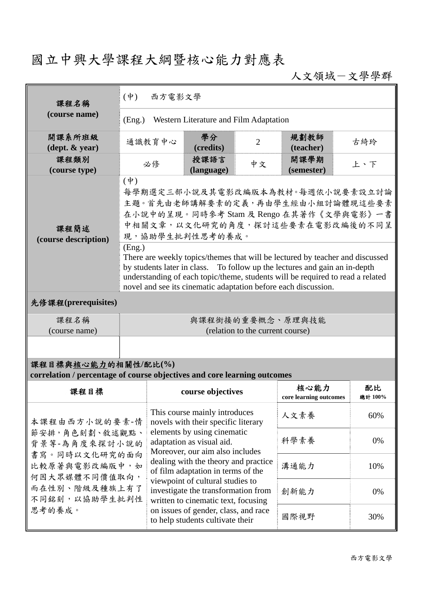## 國立中興大學課程大綱暨核心能力對應表

人文領域-文學學群

| 課程名稱<br>(course name)                                                                           | $(\dot{\Psi})$<br>西方電影文學                                                                                                                                                                                                                                                                                                                                                                                                                           |                                                                                                                                                                                                                                                                                                                                                                                                                                                 |                |                                |               |  |  |  |
|-------------------------------------------------------------------------------------------------|----------------------------------------------------------------------------------------------------------------------------------------------------------------------------------------------------------------------------------------------------------------------------------------------------------------------------------------------------------------------------------------------------------------------------------------------------|-------------------------------------------------------------------------------------------------------------------------------------------------------------------------------------------------------------------------------------------------------------------------------------------------------------------------------------------------------------------------------------------------------------------------------------------------|----------------|--------------------------------|---------------|--|--|--|
|                                                                                                 | Western Literature and Film Adaptation<br>(Eng.)                                                                                                                                                                                                                                                                                                                                                                                                   |                                                                                                                                                                                                                                                                                                                                                                                                                                                 |                |                                |               |  |  |  |
| 開課系所班級<br>$(\text{dept.} \& \text{ year})$                                                      | 通識教育中心                                                                                                                                                                                                                                                                                                                                                                                                                                             | 學分<br>(credits)                                                                                                                                                                                                                                                                                                                                                                                                                                 | $\overline{2}$ | 規劃教師<br>(teacher)              | 古綺玲           |  |  |  |
| 課程類別<br>(course type)                                                                           | 必修                                                                                                                                                                                                                                                                                                                                                                                                                                                 | 授課語言<br>(language)                                                                                                                                                                                                                                                                                                                                                                                                                              | 中文             | 開課學期<br>(semester)             | 上、下           |  |  |  |
| 課程簡述<br>(course description)                                                                    | $(\dot{\Psi})$<br>每學期選定三部小說及其電影改編版本為教材。每週依小說要素設立討論<br>主題。首先由老師講解要素的定義,再由學生經由小組討論體現這些要素<br>在小說中的呈現。同時參考 Stam 及 Rengo 在其著作《文學與電影》一書<br>中相關文章,以文化研究的角度,探討這些要素在電影改編後的不同呈<br>現,協助學生批判性思考的養成。<br>(Eng.)<br>There are weekly topics/themes that will be lectured by teacher and discussed<br>by students later in class. To follow up the lectures and gain an in-depth<br>understanding of each topic/theme, students will be required to read a related |                                                                                                                                                                                                                                                                                                                                                                                                                                                 |                |                                |               |  |  |  |
| novel and see its cinematic adaptation before each discussion.                                  |                                                                                                                                                                                                                                                                                                                                                                                                                                                    |                                                                                                                                                                                                                                                                                                                                                                                                                                                 |                |                                |               |  |  |  |
| 先修課程(prerequisites)                                                                             |                                                                                                                                                                                                                                                                                                                                                                                                                                                    |                                                                                                                                                                                                                                                                                                                                                                                                                                                 |                |                                |               |  |  |  |
| 課程名稱<br>(course name)                                                                           | 與課程銜接的重要概念、原理與技能<br>(relation to the current course)                                                                                                                                                                                                                                                                                                                                                                                               |                                                                                                                                                                                                                                                                                                                                                                                                                                                 |                |                                |               |  |  |  |
|                                                                                                 |                                                                                                                                                                                                                                                                                                                                                                                                                                                    |                                                                                                                                                                                                                                                                                                                                                                                                                                                 |                |                                |               |  |  |  |
| 課程目標與核心能力的相關性/配比(%)<br>correlation / percentage of course objectives and core learning outcomes |                                                                                                                                                                                                                                                                                                                                                                                                                                                    |                                                                                                                                                                                                                                                                                                                                                                                                                                                 |                |                                |               |  |  |  |
| 課程目標                                                                                            |                                                                                                                                                                                                                                                                                                                                                                                                                                                    | course objectives                                                                                                                                                                                                                                                                                                                                                                                                                               |                | 核心能力<br>core learning outcomes | 配比<br>總計 100% |  |  |  |
| 本課程由西方小說的要素-情                                                                                   |                                                                                                                                                                                                                                                                                                                                                                                                                                                    | This course mainly introduces<br>novels with their specific literary<br>elements by using cinematic<br>adaptation as visual aid.<br>Moreover, our aim also includes<br>dealing with the theory and practice<br>of film adaptation in terms of the<br>viewpoint of cultural studies to<br>investigate the transformation from<br>written to cinematic text, focusing<br>on issues of gender, class, and race<br>to help students cultivate their |                | 人文素養                           | 60%           |  |  |  |
| 節安排,角色刻劃、敘述觀點、<br>背景等-為角度來探討小說的                                                                 |                                                                                                                                                                                                                                                                                                                                                                                                                                                    |                                                                                                                                                                                                                                                                                                                                                                                                                                                 |                | 科學素養                           | 0%            |  |  |  |
| 書寫。同時以文化研究的面向<br>比較原著與電影改編版中,如<br>何因大眾媒體不同價值取向,                                                 |                                                                                                                                                                                                                                                                                                                                                                                                                                                    |                                                                                                                                                                                                                                                                                                                                                                                                                                                 |                | 溝通能力                           | 10%           |  |  |  |
| 而在性別、階級及種族上有了<br>不同銘刻,以協助學生批判性                                                                  |                                                                                                                                                                                                                                                                                                                                                                                                                                                    |                                                                                                                                                                                                                                                                                                                                                                                                                                                 |                | 創新能力                           | 0%            |  |  |  |
| 思考的養成。                                                                                          |                                                                                                                                                                                                                                                                                                                                                                                                                                                    |                                                                                                                                                                                                                                                                                                                                                                                                                                                 |                | 國際視野                           | 30%           |  |  |  |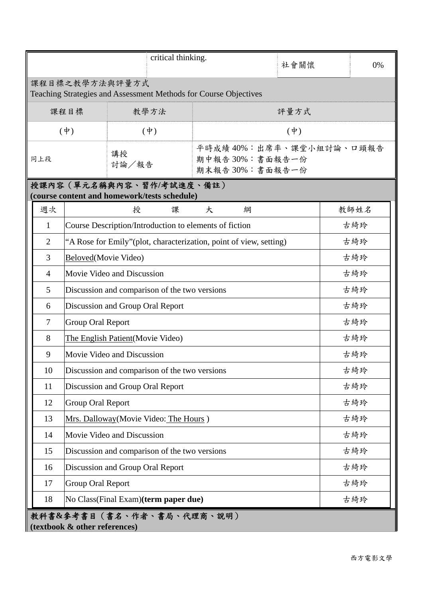|                                                                                       | critical thinking.                                     |                                                             |                | 社會關懷 | 0%   |  |  |  |  |
|---------------------------------------------------------------------------------------|--------------------------------------------------------|-------------------------------------------------------------|----------------|------|------|--|--|--|--|
| 課程目標之教學方法與評量方式<br>Teaching Strategies and Assessment Methods for Course Objectives    |                                                        |                                                             |                |      |      |  |  |  |  |
|                                                                                       | 課程目標<br>教學方法                                           |                                                             | 評量方式           |      |      |  |  |  |  |
|                                                                                       | $(\phi)$<br>$(\dagger)$                                |                                                             | $(\dot{\Psi})$ |      |      |  |  |  |  |
| 同上段                                                                                   |                                                        | 平時成績40%:出席率、課堂小組討論、口頭報告<br>期中報告30%:書面報告一份<br>期末報告30%:書面報告一份 |                |      |      |  |  |  |  |
| 授課內容 (單元名稱與內容、習作/考試進度、備註)<br>(course content and homework/tests schedule)             |                                                        |                                                             |                |      |      |  |  |  |  |
| 週次                                                                                    | 授<br>大<br>課<br>綱                                       |                                                             |                |      | 教師姓名 |  |  |  |  |
| 1                                                                                     | Course Description/Introduction to elements of fiction |                                                             |                |      |      |  |  |  |  |
| $\overline{2}$<br>"A Rose for Emily" (plot, characterization, point of view, setting) |                                                        |                                                             |                |      | 古綺玲  |  |  |  |  |
| 3                                                                                     | Beloved(Movie Video)                                   |                                                             |                |      |      |  |  |  |  |
| 4                                                                                     | Movie Video and Discussion                             |                                                             | 古綺玲            |      |      |  |  |  |  |
| 5                                                                                     | Discussion and comparison of the two versions          |                                                             | 古綺玲            |      |      |  |  |  |  |
| 6                                                                                     | Discussion and Group Oral Report                       |                                                             | 古綺玲            |      |      |  |  |  |  |
| $\tau$                                                                                | Group Oral Report                                      |                                                             |                |      |      |  |  |  |  |
| 8                                                                                     | The English Patient (Movie Video)                      |                                                             | 古綺玲            |      |      |  |  |  |  |
| 9                                                                                     | Movie Video and Discussion                             |                                                             | 古綺玲            |      |      |  |  |  |  |
| 10                                                                                    | Discussion and comparison of the two versions          |                                                             | 古綺玲            |      |      |  |  |  |  |
| 11                                                                                    | Discussion and Group Oral Report                       |                                                             | 古綺玲            |      |      |  |  |  |  |
| 12                                                                                    | Group Oral Report                                      |                                                             | 古綺玲            |      |      |  |  |  |  |
| 13                                                                                    | Mrs. Dalloway (Movie Video: The Hours)                 |                                                             |                |      |      |  |  |  |  |
| 14                                                                                    | Movie Video and Discussion                             |                                                             | 古綺玲            |      |      |  |  |  |  |
| 15                                                                                    | Discussion and comparison of the two versions          |                                                             | 古綺玲            |      |      |  |  |  |  |
| 16                                                                                    | Discussion and Group Oral Report                       |                                                             | 古綺玲            |      |      |  |  |  |  |
| 17                                                                                    | Group Oral Report                                      |                                                             | 古綺玲            |      |      |  |  |  |  |
| 18                                                                                    | No Class(Final Exam)(term paper due)                   |                                                             | 古綺玲            |      |      |  |  |  |  |
| 教科書&參考書目(書名、作者、書局、代理商、說明)<br>(textbook & other references)                            |                                                        |                                                             |                |      |      |  |  |  |  |